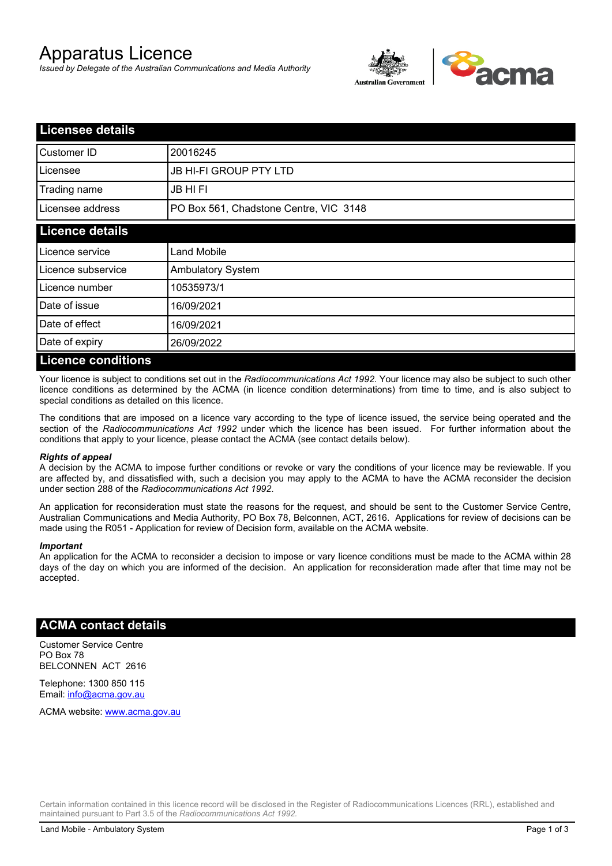# Apparatus Licence

*Issued by Delegate of the Australian Communications and Media Authority*



| <b>Licensee details</b>   |                                        |  |
|---------------------------|----------------------------------------|--|
| Customer ID               | 20016245                               |  |
| Licensee                  | <b>JB HI-FI GROUP PTY LTD</b>          |  |
| Trading name              | <b>JB HIFI</b>                         |  |
| Licensee address          | PO Box 561, Chadstone Centre, VIC 3148 |  |
| <b>Licence details</b>    |                                        |  |
| Licence service           | <b>Land Mobile</b>                     |  |
| Licence subservice        | <b>Ambulatory System</b>               |  |
| Licence number            | 10535973/1                             |  |
| Date of issue             | 16/09/2021                             |  |
| Date of effect            | 16/09/2021                             |  |
| Date of expiry            | 26/09/2022                             |  |
| <b>Licence conditions</b> |                                        |  |

Your licence is subject to conditions set out in the *Radiocommunications Act 1992*. Your licence may also be subject to such other licence conditions as determined by the ACMA (in licence condition determinations) from time to time, and is also subject to special conditions as detailed on this licence.

The conditions that are imposed on a licence vary according to the type of licence issued, the service being operated and the section of the *Radiocommunications Act 1992* under which the licence has been issued. For further information about the conditions that apply to your licence, please contact the ACMA (see contact details below).

### *Rights of appeal*

A decision by the ACMA to impose further conditions or revoke or vary the conditions of your licence may be reviewable. If you are affected by, and dissatisfied with, such a decision you may apply to the ACMA to have the ACMA reconsider the decision under section 288 of the *Radiocommunications Act 1992*.

An application for reconsideration must state the reasons for the request, and should be sent to the Customer Service Centre, Australian Communications and Media Authority, PO Box 78, Belconnen, ACT, 2616. Applications for review of decisions can be made using the R051 - Application for review of Decision form, available on the ACMA website.

#### *Important*

An application for the ACMA to reconsider a decision to impose or vary licence conditions must be made to the ACMA within 28 days of the day on which you are informed of the decision. An application for reconsideration made after that time may not be accepted.

### **ACMA contact details**

Customer Service Centre PO Box 78 BELCONNEN ACT 2616

Telephone: 1300 850 115 Email: info@acma.gov.au

ACMA website: www.acma.gov.au

Certain information contained in this licence record will be disclosed in the Register of Radiocommunications Licences (RRL), established and maintained pursuant to Part 3.5 of the *Radiocommunications Act 1992.*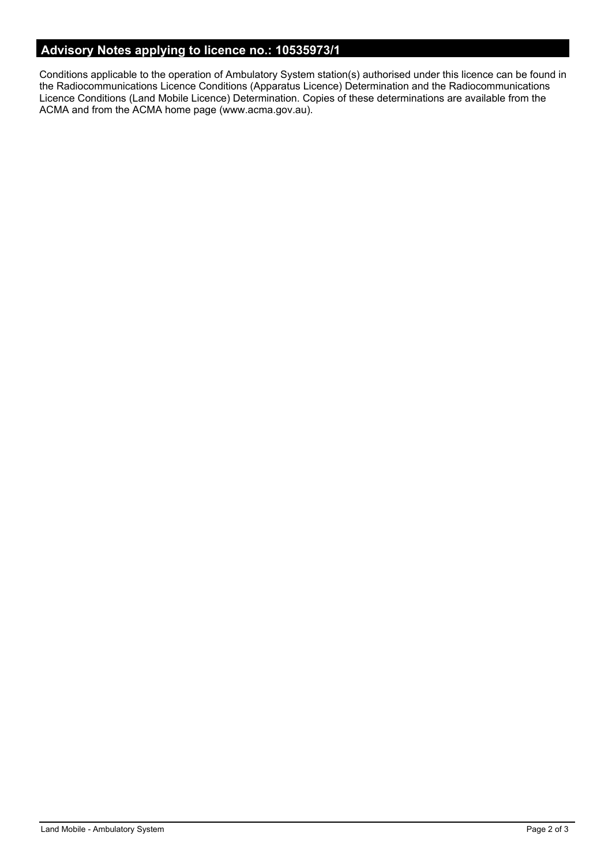# **Advisory Notes applying to licence no.: 10535973/1**

Conditions applicable to the operation of Ambulatory System station(s) authorised under this licence can be found in the Radiocommunications Licence Conditions (Apparatus Licence) Determination and the Radiocommunications Licence Conditions (Land Mobile Licence) Determination. Copies of these determinations are available from the ACMA and from the ACMA home page (www.acma.gov.au).